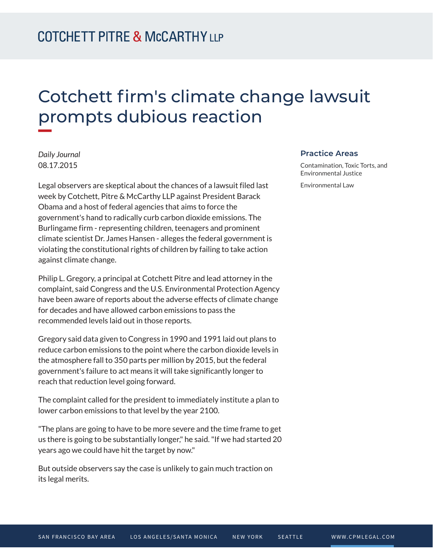## Cotchett firm's climate change lawsuit prompts dubious reaction

*Daily Journal* 08.17.2015

**William** 

Legal observers are skeptical about the chances of a lawsuit filed last week by Cotchett, Pitre & McCarthy LLP against President Barack Obama and a host of federal agencies that aims to force the government's hand to radically curb carbon dioxide emissions. The Burlingame firm - representing children, teenagers and prominent climate scientist Dr. James Hansen - alleges the federal government is violating the constitutional rights of children by failing to take action against climate change.

Philip L. Gregory, a principal at Cotchett Pitre and lead attorney in the complaint, said Congress and the U.S. Environmental Protection Agency have been aware of reports about the adverse effects of climate change for decades and have allowed carbon emissions to pass the recommended levels laid out in those reports.

Gregory said data given to Congress in 1990 and 1991 laid out plans to reduce carbon emissions to the point where the carbon dioxide levels in the atmosphere fall to 350 parts per million by 2015, but the federal government's failure to act means it will take significantly longer to reach that reduction level going forward.

The complaint called for the president to immediately institute a plan to lower carbon emissions to that level by the year 2100.

"The plans are going to have to be more severe and the time frame to get us there is going to be substantially longer," he said. "If we had started 20 years ago we could have hit the target by now."

But outside observers say the case is unlikely to gain much traction on its legal merits.

## **Practice Areas**

Contamination, Toxic Torts, and Environmental Justice

Environmental Law